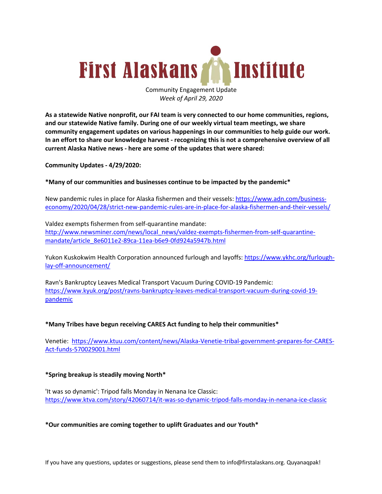

Community Engagement Update *Week of April 29, 2020*

**As a statewide Native nonprofit, our FAI team is very connected to our home communities, regions, and our statewide Native family. During one of our weekly virtual team meetings, we share community engagement updates on various happenings in our communities to help guide our work. In an effort to share our knowledge harvest - recognizing this is not a comprehensive overview of all current Alaska Native news - here are some of the updates that were shared:**

**Community Updates - 4/29/2020:**

**\*Many of our communities and businesses continue to be impacted by the pandemic\***

New pandemic rules in place for Alaska fishermen and their vessels: https://www.adn.com/businesseconomy/2020/04/28/strict-new-pandemic-rules-are-in-place-for-alaska-fishermen-and-their-vessels/

Valdez exempts fishermen from self-quarantine mandate: http://www.newsminer.com/news/local\_news/valdez-exempts-fishermen-from-self-quarantinemandate/article\_8e6011e2-89ca-11ea-b6e9-0fd924a5947b.html

Yukon Kuskokwim Health Corporation announced furlough and layoffs: https://www.ykhc.org/furloughlay-off-announcement/

Ravn's Bankruptcy Leaves Medical Transport Vacuum During COVID-19 Pandemic: https://www.kyuk.org/post/ravns-bankruptcy-leaves-medical-transport-vacuum-during-covid-19 pandemic

## **\*Many Tribes have begun receiving CARES Act funding to help their communities\***

Venetie: https://www.ktuu.com/content/news/Alaska-Venetie-tribal-government-prepares-for-CARES-Act-funds-570029001.html

## **\*Spring breakup is steadily moving North\***

'It was so dynamic': Tripod falls Monday in Nenana Ice Classic: https://www.ktva.com/story/42060714/it-was-so-dynamic-tripod-falls-monday-in-nenana-ice-classic

### **\*Our communities are coming together to uplift Graduates and our Youth\***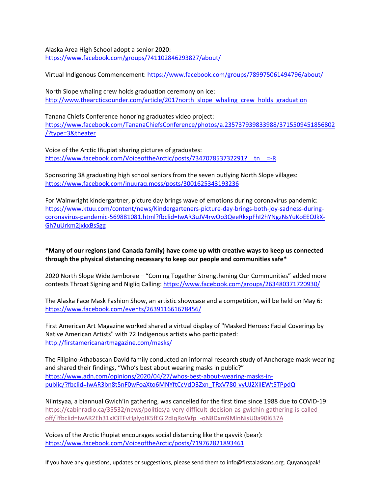Alaska Area High School adopt a senior 2020: https://www.facebook.com/groups/741102846293827/about/

Virtual Indigenous Commencement: https://www.facebook.com/groups/789975061494796/about/

North Slope whaling crew holds graduation ceremony on ice: http://www.thearcticsounder.com/article/2017north\_slope\_whaling\_crew\_holds\_graduation

Tanana Chiefs Conference honoring graduates video project: https://www.facebook.com/TananaChiefsConference/photos/a.235737939833988/3715509451856802 /?type=3&theater

Voice of the Arctic Iñupiat sharing pictures of graduates: https://www.facebook.com/VoiceoftheArctic/posts/734707853732291?\_\_tn\_\_=-R

Sponsoring 38 graduating high school seniors from the seven outlying North Slope villages: https://www.facebook.com/inuuraq.moss/posts/3001625343193236

For Wainwright kindergartner, picture day brings wave of emotions during coronavirus pandemic: https://www.ktuu.com/content/news/Kindergarteners-picture-day-brings-both-joy-sadness-duringcoronavirus-pandemic-569881081.html?fbclid=IwAR3uJV4rwOo3QeeRkxpFhI2hYNgzNsYuKoEEOJkX-Gh7uUrkm2jxkxBsSgg

# **\*Many of our regions (and Canada family) have come up with creative ways to keep us connected through the physical distancing necessary to keep our people and communities safe\***

2020 North Slope Wide Jamboree – "Coming Together Strengthening Our Communities" added more contests Throat Signing and Nigliq Calling: https://www.facebook.com/groups/263480371720930/

The Alaska Face Mask Fashion Show, an artistic showcase and a competition, will be held on May 6: https://www.facebook.com/events/263911661678456/

First American Art Magazine worked shared a virtual display of "Masked Heroes: Facial Coverings by Native American Artists" with 72 Indigenous artists who participated: http://firstamericanartmagazine.com/masks/

The Filipino-Athabascan David family conducted an informal research study of Anchorage mask-wearing and shared their findings, "Who's best about wearing masks in public?" https://www.adn.com/opinions/2020/04/27/whos-best-about-wearing-masks-inpublic/?fbclid=IwAR3bn8t5nF0wFoaXto6MNYftCcVdD3Zxn\_TRxV780-vyUJ2XiIEWtSTPpdQ

Niintsyaa, a biannual Gwich'in gathering, was cancelled for the first time since 1988 due to COVID-19: https://cabinradio.ca/35532/news/politics/a-very-difficult-decision-as-gwichin-gathering-is-calledoff/?fbclid=IwAR2Eh31xX3TFvHglyqIK5fEGl2dIqRoWfp\_-oN8Dxm9MlnNisU0a90l637A

Voices of the Arctic Iñupiat encourages social distancing like the qavvik (bear): https://www.facebook.com/VoiceoftheArctic/posts/719762821893461

If you have any questions, updates or suggestions, please send them to info@firstalaskans.org. Quyanaqpak!